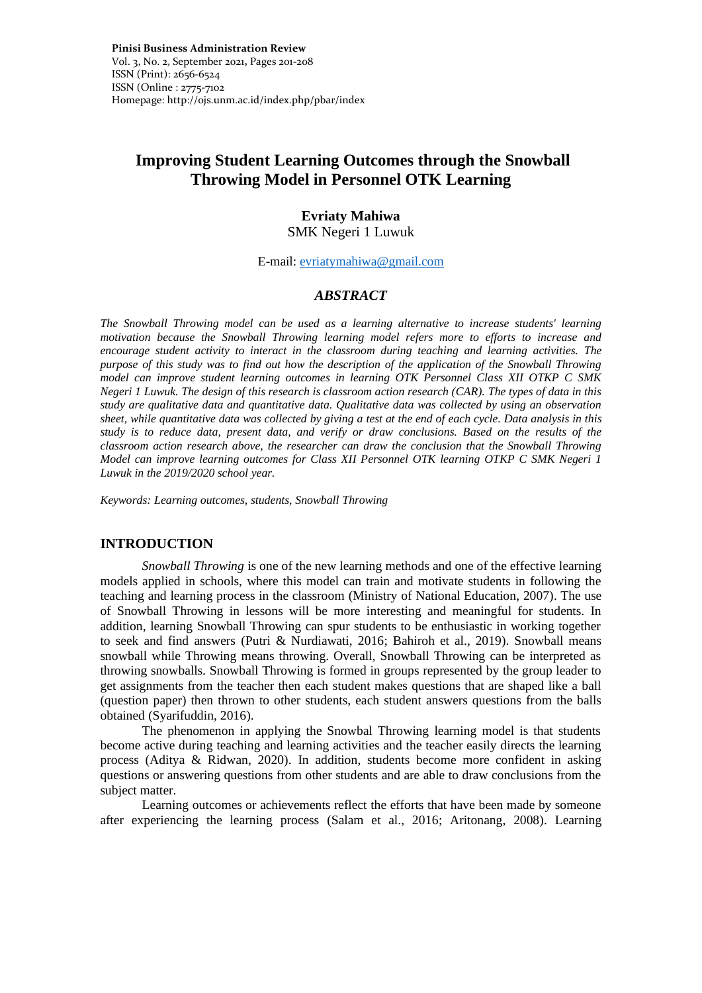# **Improving Student Learning Outcomes through the Snowball Throwing Model in Personnel OTK Learning**

## **Evriaty Mahiwa**

SMK Negeri 1 Luwuk

E-mail: [evriatymahiwa@gmail.com](mailto:evriatymahiwa@gmail.com)

## *ABSTRACT*

*The Snowball Throwing model can be used as a learning alternative to increase students' learning motivation because the Snowball Throwing learning model refers more to efforts to increase and encourage student activity to interact in the classroom during teaching and learning activities. The purpose of this study was to find out how the description of the application of the Snowball Throwing model can improve student learning outcomes in learning OTK Personnel Class XII OTKP C SMK Negeri 1 Luwuk. The design of this research is classroom action research (CAR). The types of data in this study are qualitative data and quantitative data. Qualitative data was collected by using an observation sheet, while quantitative data was collected by giving a test at the end of each cycle. Data analysis in this study is to reduce data, present data, and verify or draw conclusions. Based on the results of the classroom action research above, the researcher can draw the conclusion that the Snowball Throwing Model can improve learning outcomes for Class XII Personnel OTK learning OTKP C SMK Negeri 1 Luwuk in the 2019/2020 school year.*

*Keywords: Learning outcomes, students, Snowball Throwing*

## **INTRODUCTION**

*Snowball Throwing* is one of the new learning methods and one of the effective learning models applied in schools, where this model can train and motivate students in following the teaching and learning process in the classroom (Ministry of National Education, 2007). The use of Snowball Throwing in lessons will be more interesting and meaningful for students. In addition, learning Snowball Throwing can spur students to be enthusiastic in working together to seek and find answers (Putri & Nurdiawati, 2016; Bahiroh et al., 2019). Snowball means snowball while Throwing means throwing. Overall, Snowball Throwing can be interpreted as throwing snowballs. Snowball Throwing is formed in groups represented by the group leader to get assignments from the teacher then each student makes questions that are shaped like a ball (question paper) then thrown to other students, each student answers questions from the balls obtained (Syarifuddin, 2016).

The phenomenon in applying the Snowbal Throwing learning model is that students become active during teaching and learning activities and the teacher easily directs the learning process (Aditya & Ridwan, 2020). In addition, students become more confident in asking questions or answering questions from other students and are able to draw conclusions from the subject matter.

Learning outcomes or achievements reflect the efforts that have been made by someone after experiencing the learning process (Salam et al., 2016; Aritonang, 2008). Learning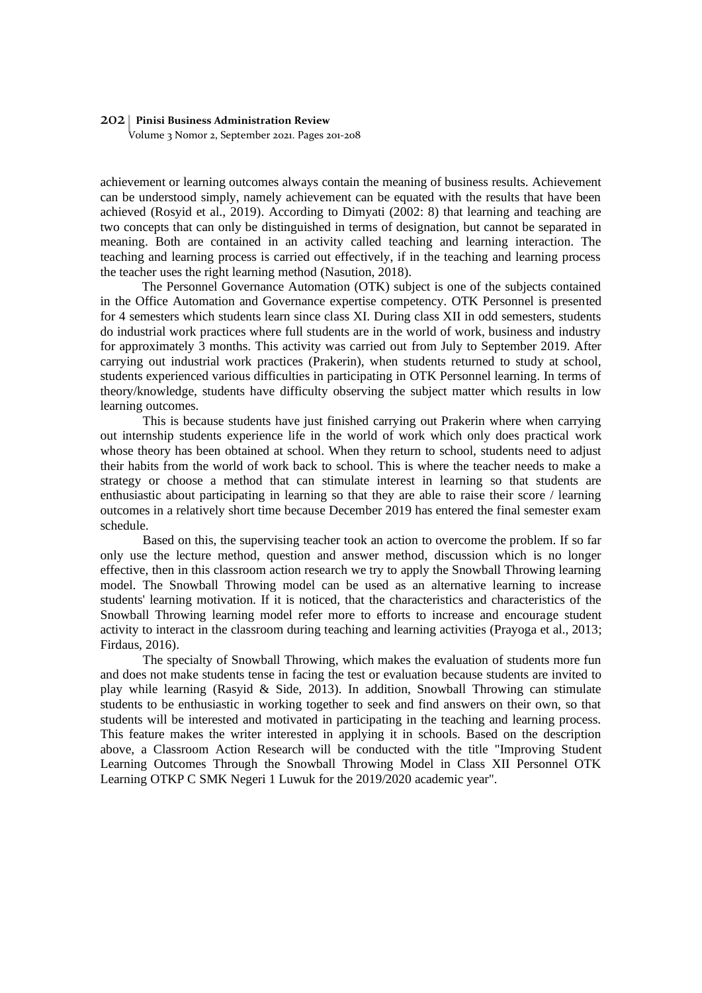Volume 3 Nomor 2, September 2021. Pages 201-208

achievement or learning outcomes always contain the meaning of business results. Achievement can be understood simply, namely achievement can be equated with the results that have been achieved (Rosyid et al., 2019). According to Dimyati (2002: 8) that learning and teaching are two concepts that can only be distinguished in terms of designation, but cannot be separated in meaning. Both are contained in an activity called teaching and learning interaction. The teaching and learning process is carried out effectively, if in the teaching and learning process the teacher uses the right learning method (Nasution, 2018).

The Personnel Governance Automation (OTK) subject is one of the subjects contained in the Office Automation and Governance expertise competency. OTK Personnel is presented for 4 semesters which students learn since class XI. During class XII in odd semesters, students do industrial work practices where full students are in the world of work, business and industry for approximately 3 months. This activity was carried out from July to September 2019. After carrying out industrial work practices (Prakerin), when students returned to study at school, students experienced various difficulties in participating in OTK Personnel learning. In terms of theory/knowledge, students have difficulty observing the subject matter which results in low learning outcomes.

This is because students have just finished carrying out Prakerin where when carrying out internship students experience life in the world of work which only does practical work whose theory has been obtained at school. When they return to school, students need to adjust their habits from the world of work back to school. This is where the teacher needs to make a strategy or choose a method that can stimulate interest in learning so that students are enthusiastic about participating in learning so that they are able to raise their score / learning outcomes in a relatively short time because December 2019 has entered the final semester exam schedule.

Based on this, the supervising teacher took an action to overcome the problem. If so far only use the lecture method, question and answer method, discussion which is no longer effective, then in this classroom action research we try to apply the Snowball Throwing learning model. The Snowball Throwing model can be used as an alternative learning to increase students' learning motivation. If it is noticed, that the characteristics and characteristics of the Snowball Throwing learning model refer more to efforts to increase and encourage student activity to interact in the classroom during teaching and learning activities (Prayoga et al., 2013; Firdaus, 2016).

The specialty of Snowball Throwing, which makes the evaluation of students more fun and does not make students tense in facing the test or evaluation because students are invited to play while learning (Rasyid & Side, 2013). In addition, Snowball Throwing can stimulate students to be enthusiastic in working together to seek and find answers on their own, so that students will be interested and motivated in participating in the teaching and learning process. This feature makes the writer interested in applying it in schools. Based on the description above, a Classroom Action Research will be conducted with the title "Improving Student Learning Outcomes Through the Snowball Throwing Model in Class XII Personnel OTK Learning OTKP C SMK Negeri 1 Luwuk for the 2019/2020 academic year".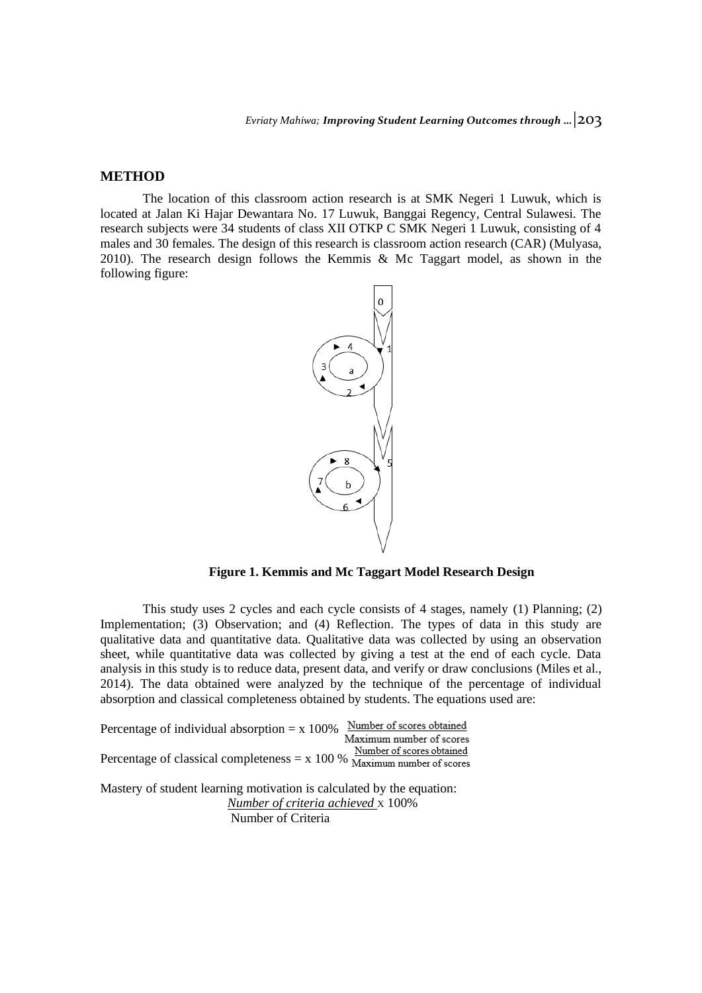## **METHOD**

The location of this classroom action research is at SMK Negeri 1 Luwuk, which is located at Jalan Ki Hajar Dewantara No. 17 Luwuk, Banggai Regency, Central Sulawesi. The research subjects were 34 students of class XII OTKP C SMK Negeri 1 Luwuk, consisting of 4 males and 30 females. The design of this research is classroom action research (CAR) (Mulyasa, 2010). The research design follows the Kemmis & Mc Taggart model, as shown in the following figure:



**Figure 1. Kemmis and Mc Taggart Model Research Design**

This study uses 2 cycles and each cycle consists of 4 stages, namely (1) Planning; (2) Implementation; (3) Observation; and (4) Reflection. The types of data in this study are qualitative data and quantitative data. Qualitative data was collected by using an observation sheet, while quantitative data was collected by giving a test at the end of each cycle. Data analysis in this study is to reduce data, present data, and verify or draw conclusions (Miles et al., 2014). The data obtained were analyzed by the technique of the percentage of individual absorption and classical completeness obtained by students. The equations used are:

| Percentage of individual absorption $= x 100\%$                                                                                   | Number of scores obtained |
|-----------------------------------------------------------------------------------------------------------------------------------|---------------------------|
|                                                                                                                                   | Maximum number of scores  |
| Percentage of classical completeness = $x$ 100 % $\frac{1}{\text{Maximum number of scores}}$                                      | Number of scores obtained |
|                                                                                                                                   |                           |
| Mastery of student learning motivation is calculated by the equation:<br>Number of criteria achieved x 100%<br>Number of Criteria |                           |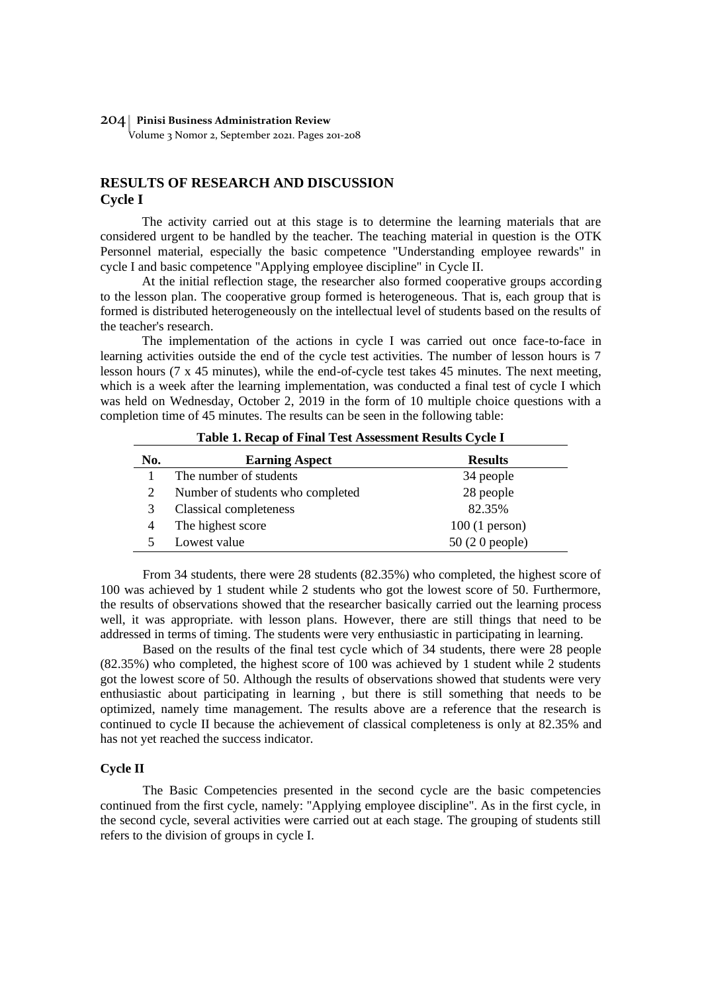Volume 3 Nomor 2, September 2021. Pages 201-208

## **RESULTS OF RESEARCH AND DISCUSSION Cycle I**

The activity carried out at this stage is to determine the learning materials that are considered urgent to be handled by the teacher. The teaching material in question is the OTK Personnel material, especially the basic competence "Understanding employee rewards" in cycle I and basic competence "Applying employee discipline" in Cycle II.

At the initial reflection stage, the researcher also formed cooperative groups according to the lesson plan. The cooperative group formed is heterogeneous. That is, each group that is formed is distributed heterogeneously on the intellectual level of students based on the results of the teacher's research.

The implementation of the actions in cycle I was carried out once face-to-face in learning activities outside the end of the cycle test activities. The number of lesson hours is 7 lesson hours (7 x 45 minutes), while the end-of-cycle test takes 45 minutes. The next meeting, which is a week after the learning implementation, was conducted a final test of cycle I which was held on Wednesday, October 2, 2019 in the form of 10 multiple choice questions with a completion time of 45 minutes. The results can be seen in the following table:

| No. | <b>Earning Aspect</b>            | <b>Results</b>  |  |
|-----|----------------------------------|-----------------|--|
|     | The number of students           | 34 people       |  |
|     | Number of students who completed | 28 people       |  |
|     | Classical completeness           | 82.35%          |  |
|     | The highest score                | $100(1$ person) |  |
|     | Lowest value                     | $50(20$ people) |  |

**Table 1. Recap of Final Test Assessment Results Cycle I**

From 34 students, there were 28 students (82.35%) who completed, the highest score of 100 was achieved by 1 student while 2 students who got the lowest score of 50. Furthermore, the results of observations showed that the researcher basically carried out the learning process well, it was appropriate. with lesson plans. However, there are still things that need to be addressed in terms of timing. The students were very enthusiastic in participating in learning.

Based on the results of the final test cycle which of 34 students, there were 28 people (82.35%) who completed, the highest score of 100 was achieved by 1 student while 2 students got the lowest score of 50. Although the results of observations showed that students were very enthusiastic about participating in learning , but there is still something that needs to be optimized, namely time management. The results above are a reference that the research is continued to cycle II because the achievement of classical completeness is only at 82.35% and has not yet reached the success indicator.

## **Cycle II**

The Basic Competencies presented in the second cycle are the basic competencies continued from the first cycle, namely: "Applying employee discipline". As in the first cycle, in the second cycle, several activities were carried out at each stage. The grouping of students still refers to the division of groups in cycle I.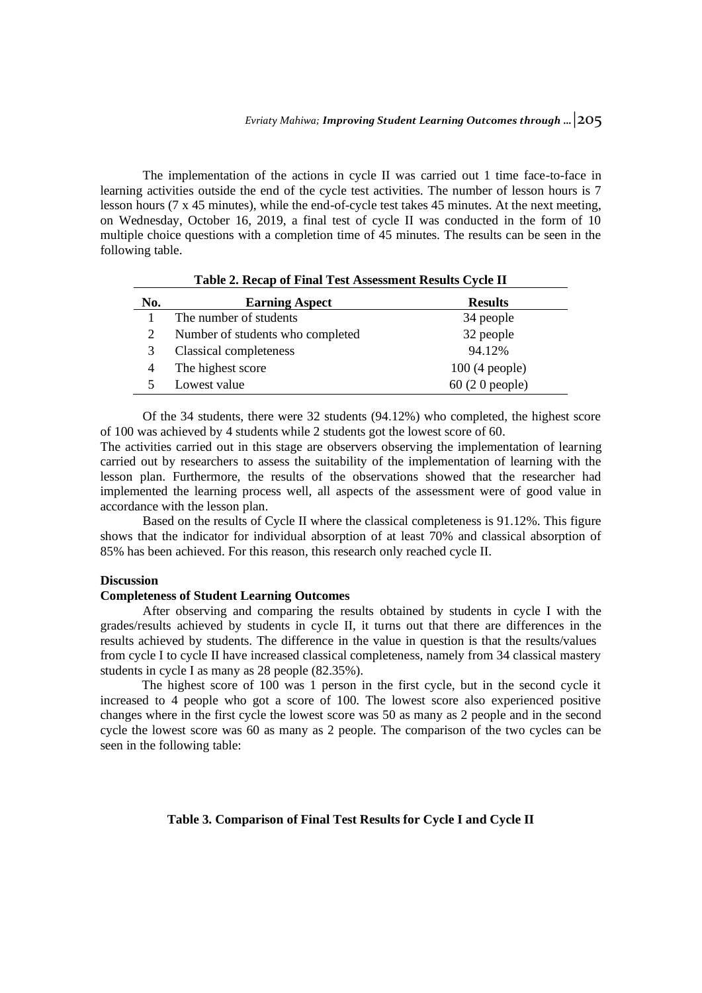The implementation of the actions in cycle II was carried out 1 time face-to-face in learning activities outside the end of the cycle test activities. The number of lesson hours is 7 lesson hours (7 x 45 minutes), while the end-of-cycle test takes 45 minutes. At the next meeting, on Wednesday, October 16, 2019, a final test of cycle II was conducted in the form of 10 multiple choice questions with a completion time of 45 minutes. The results can be seen in the following table.

|     | Table 2. Recap of Final Test Assessment Results Cycle II |                 |  |  |  |
|-----|----------------------------------------------------------|-----------------|--|--|--|
| No. | <b>Earning Aspect</b>                                    | <b>Results</b>  |  |  |  |
|     | The number of students                                   | 34 people       |  |  |  |
| 2   | Number of students who completed                         | 32 people       |  |  |  |
| 3   | Classical completeness                                   | 94.12%          |  |  |  |
| 4   | The highest score                                        | $100(4$ people) |  |  |  |
|     | Lowest value                                             | $60(20$ people) |  |  |  |

Of the 34 students, there were 32 students (94.12%) who completed, the highest score of 100 was achieved by 4 students while 2 students got the lowest score of 60.

The activities carried out in this stage are observers observing the implementation of learning carried out by researchers to assess the suitability of the implementation of learning with the lesson plan. Furthermore, the results of the observations showed that the researcher had implemented the learning process well, all aspects of the assessment were of good value in accordance with the lesson plan.

Based on the results of Cycle II where the classical completeness is 91.12%. This figure shows that the indicator for individual absorption of at least  $70\%$  and classical absorption of 85% has been achieved. For this reason, this research only reached cycle II.

## **Discussion**

#### **Completeness of Student Learning Outcomes**

After observing and comparing the results obtained by students in cycle I with the grades/results achieved by students in cycle II, it turns out that there are differences in the results achieved by students. The difference in the value in question is that the results/values from cycle I to cycle II have increased classical completeness, namely from 34 classical mastery students in cycle I as many as 28 people (82.35%).

The highest score of 100 was 1 person in the first cycle, but in the second cycle it increased to 4 people who got a score of 100. The lowest score also experienced positive changes where in the first cycle the lowest score was 50 as many as 2 people and in the second cycle the lowest score was 60 as many as 2 people. The comparison of the two cycles can be seen in the following table:

#### **Table 3. Comparison of Final Test Results for Cycle I and Cycle II**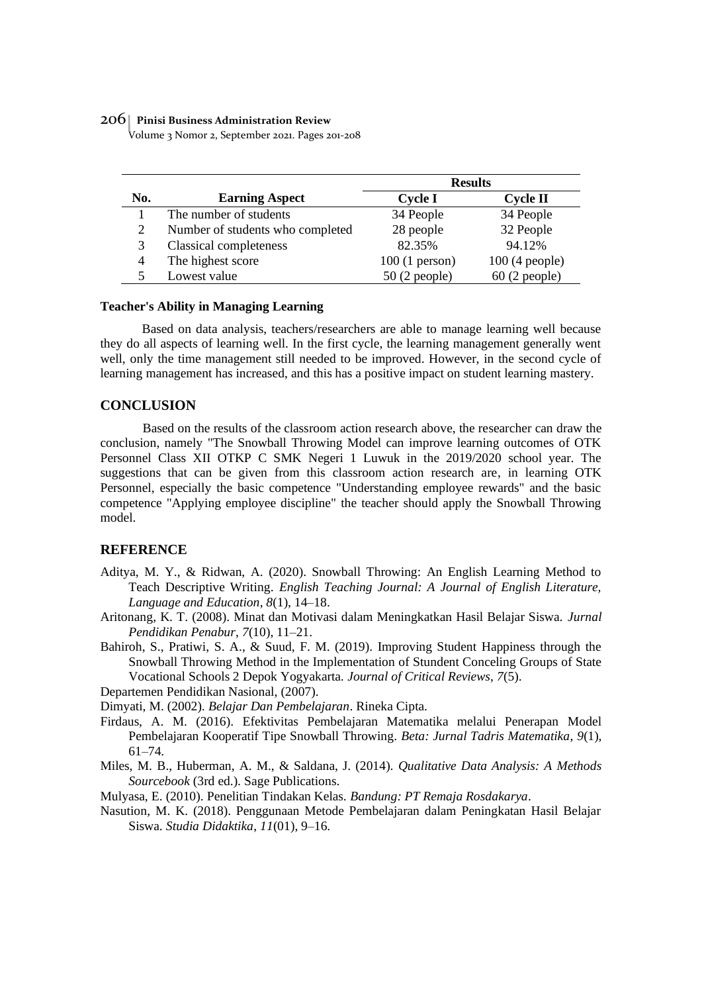Volume 3 Nomor 2, September 2021. Pages 201-208

|     |                                  | <b>Results</b>  |                 |
|-----|----------------------------------|-----------------|-----------------|
| No. | <b>Earning Aspect</b>            | Cycle I         | Cycle II        |
|     | The number of students           | 34 People       | 34 People       |
| 2   | Number of students who completed | 28 people       | 32 People       |
| 3   | Classical completeness           | 82.35%          | 94.12%          |
| 4   | The highest score                | $100(1$ person) | $100(4$ people) |
|     | Lowest value                     | $50(2$ people)  | $60(2$ people)  |

#### **Teacher's Ability in Managing Learning**

Based on data analysis, teachers/researchers are able to manage learning well because they do all aspects of learning well. In the first cycle, the learning management generally went well, only the time management still needed to be improved. However, in the second cycle of learning management has increased, and this has a positive impact on student learning mastery.

#### **CONCLUSION**

Based on the results of the classroom action research above, the researcher can draw the conclusion, namely "The Snowball Throwing Model can improve learning outcomes of OTK Personnel Class XII OTKP C SMK Negeri 1 Luwuk in the 2019/2020 school year. The suggestions that can be given from this classroom action research are, in learning OTK Personnel, especially the basic competence "Understanding employee rewards" and the basic competence "Applying employee discipline" the teacher should apply the Snowball Throwing model.

#### **REFERENCE**

- Aditya, M. Y., & Ridwan, A. (2020). Snowball Throwing: An English Learning Method to Teach Descriptive Writing. *English Teaching Journal: A Journal of English Literature, Language and Education*, *8*(1), 14–18.
- Aritonang, K. T. (2008). Minat dan Motivasi dalam Meningkatkan Hasil Belajar Siswa. *Jurnal Pendidikan Penabur*, *7*(10), 11–21.
- Bahiroh, S., Pratiwi, S. A., & Suud, F. M. (2019). Improving Student Happiness through the Snowball Throwing Method in the Implementation of Stundent Conceling Groups of State Vocational Schools 2 Depok Yogyakarta. *Journal of Critical Reviews*, *7*(5).

Departemen Pendidikan Nasional, (2007).

Dimyati, M. (2002). *Belajar Dan Pembelajaran*. Rineka Cipta.

- Firdaus, A. M. (2016). Efektivitas Pembelajaran Matematika melalui Penerapan Model Pembelajaran Kooperatif Tipe Snowball Throwing. *Beta: Jurnal Tadris Matematika*, *9*(1), 61–74.
- Miles, M. B., Huberman, A. M., & Saldana, J. (2014). *Qualitative Data Analysis: A Methods Sourcebook* (3rd ed.). Sage Publications.
- Mulyasa, E. (2010). Penelitian Tindakan Kelas. *Bandung: PT Remaja Rosdakarya*.
- Nasution, M. K. (2018). Penggunaan Metode Pembelajaran dalam Peningkatan Hasil Belajar Siswa. *Studia Didaktika*, *11*(01), 9–16.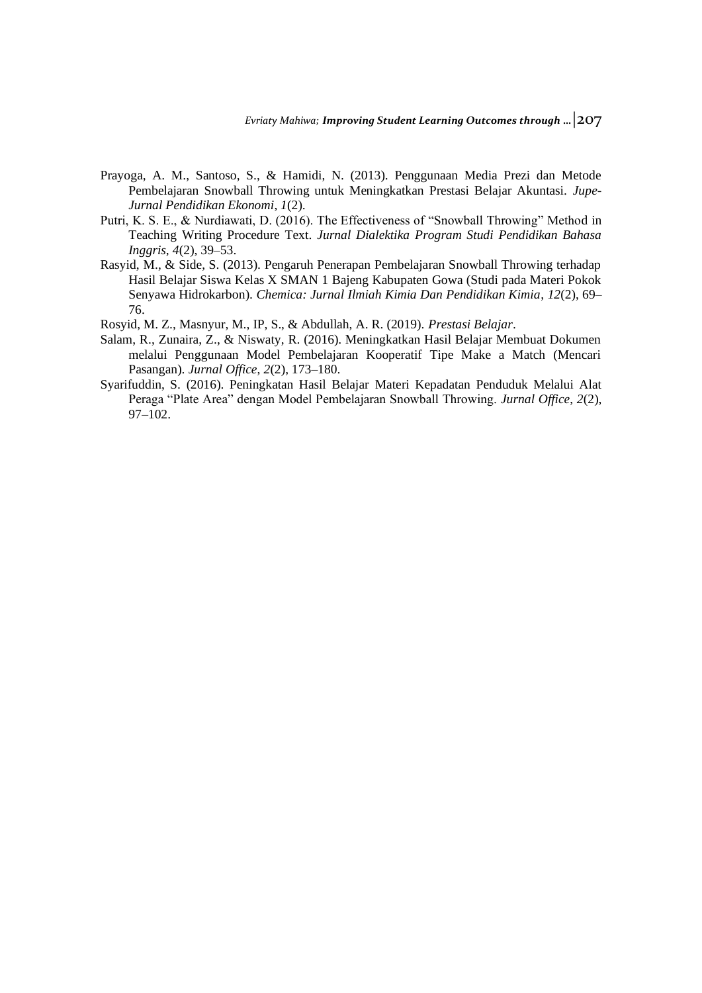- Prayoga, A. M., Santoso, S., & Hamidi, N. (2013). Penggunaan Media Prezi dan Metode Pembelajaran Snowball Throwing untuk Meningkatkan Prestasi Belajar Akuntasi. *Jupe-Jurnal Pendidikan Ekonomi*, *1*(2).
- Putri, K. S. E., & Nurdiawati, D. (2016). The Effectiveness of "Snowball Throwing" Method in Teaching Writing Procedure Text. *Jurnal Dialektika Program Studi Pendidikan Bahasa Inggris*, *4*(2), 39–53.
- Rasyid, M., & Side, S. (2013). Pengaruh Penerapan Pembelajaran Snowball Throwing terhadap Hasil Belajar Siswa Kelas X SMAN 1 Bajeng Kabupaten Gowa (Studi pada Materi Pokok Senyawa Hidrokarbon). *Chemica: Jurnal Ilmiah Kimia Dan Pendidikan Kimia*, *12*(2), 69– 76.
- Rosyid, M. Z., Masnyur, M., IP, S., & Abdullah, A. R. (2019). *Prestasi Belajar*.
- Salam, R., Zunaira, Z., & Niswaty, R. (2016). Meningkatkan Hasil Belajar Membuat Dokumen melalui Penggunaan Model Pembelajaran Kooperatif Tipe Make a Match (Mencari Pasangan). *Jurnal Office*, *2*(2), 173–180.
- Syarifuddin, S. (2016). Peningkatan Hasil Belajar Materi Kepadatan Penduduk Melalui Alat Peraga "Plate Area" dengan Model Pembelajaran Snowball Throwing. *Jurnal Office*, *2*(2), 97–102.